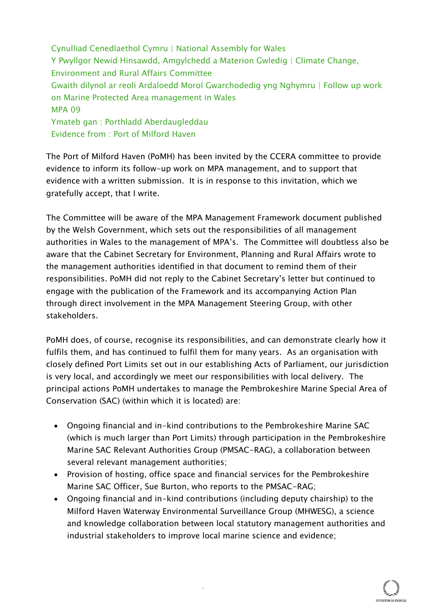Cynulliad Cenedlaethol Cymru | National Assembly for Wales Y Pwyllgor Newid Hinsawdd, Amgylchedd a Materion Gwledig | Climate Change, Environment and Rural Affairs Committee Gwaith dilynol ar reoli Ardaloedd Morol Gwarchodedig yng Nghymru | Follow up work on Marine Protected Area management in Wales MPA 09 Ymateb gan : Porthladd Aberdaugleddau Evidence from : Port of Milford Haven

The Port of Milford Haven (PoMH) has been invited by the CCERA committee to provide evidence to inform its follow-up work on MPA management, and to support that evidence with a written submission. It is in response to this invitation, which we gratefully accept, that I write.

The Committee will be aware of the MPA Management Framework document published by the Welsh Government, which sets out the responsibilities of all management authorities in Wales to the management of MPA's. The Committee will doubtless also be aware that the Cabinet Secretary for Environment, Planning and Rural Affairs wrote to the management authorities identified in that document to remind them of their responsibilities. PoMH did not reply to the Cabinet Secretary's letter but continued to engage with the publication of the Framework and its accompanying Action Plan through direct involvement in the MPA Management Steering Group, with other stakeholders.

PoMH does, of course, recognise its responsibilities, and can demonstrate clearly how it fulfils them, and has continued to fulfil them for many years. As an organisation with closely defined Port Limits set out in our establishing Acts of Parliament, our jurisdiction is very local, and accordingly we meet our responsibilities with local delivery. The principal actions PoMH undertakes to manage the Pembrokeshire Marine Special Area of Conservation (SAC) (within which it is located) are:

- Ongoing financial and in-kind contributions to the Pembrokeshire Marine SAC (which is much larger than Port Limits) through participation in the Pembrokeshire Marine SAC Relevant Authorities Group (PMSAC-RAG), a collaboration between several relevant management authorities;
- Provision of hosting, office space and financial services for the Pembrokeshire Marine SAC Officer, Sue Burton, who reports to the PMSAC-RAG;

"

 Ongoing financial and in-kind contributions (including deputy chairship) to the Milford Haven Waterway Environmental Surveillance Group (MHWESG), a science and knowledge collaboration between local statutory management authorities and industrial stakeholders to improve local marine science and evidence;